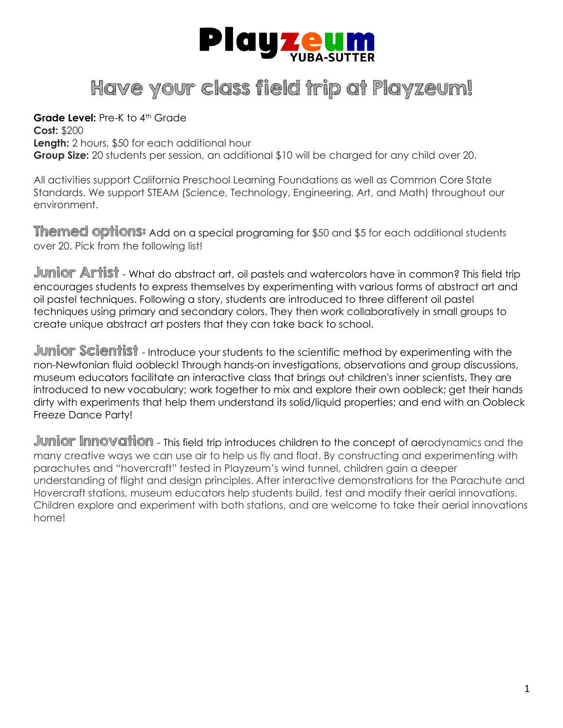

# Have your class field trip at Playzeum!

Grade Level: Pre-K to 4<sup>th</sup> Grade **Cost:** \$200 **Length:** 2 hours, \$50 for each additional hour **Group Size:** 20 students per session, an additional \$10 will be charged for any child over 20.

All activities support California Preschool Learning Foundations as well as Common Core State Standards. We support STEAM (Science, Technology, Engineering, Art, and Math) throughout our environment.

**Themed options:** Add on a special programing for \$50 and \$5 for each additional students over 20. Pick from the following list!

Junior Artist - What do abstract art, oil pastels and watercolors have in common? This field trip encourages students to express themselves by experimenting with various forms of abstract art and oil pastel techniques. Following a story, students are introduced to three different oil pastel techniques using primary and secondary colors. They then work collaboratively in small groups to create unique abstract art posters that they can take back to school.

**Junior Scientist** - Introduce your students to the scientific method by experimenting with the non-Newtonian fluid oobleck! Through hands-on investigations, observations and group discussions, museum educators facilitate an interactive class that brings out children's inner scientists. They are introduced to new vocabulary; work together to mix and explore their own oobleck; get their hands dirty with experiments that help them understand its solid/liquid properties; and end with an Oobleck Freeze Dance Party!

Junior Innovation - This field trip introduces children to the concept of aerodynamics and the many creative ways we can use air to help us fly and float. By constructing and experimenting with parachutes and "hovercraft" tested in Playzeum's wind tunnel, children gain a deeper understanding of flight and design principles. After interactive demonstrations for the Parachute and Hovercraft stations, museum educators help students build, test and modify their aerial innovations. Children explore and experiment with both stations, and are welcome to take their aerial innovations home!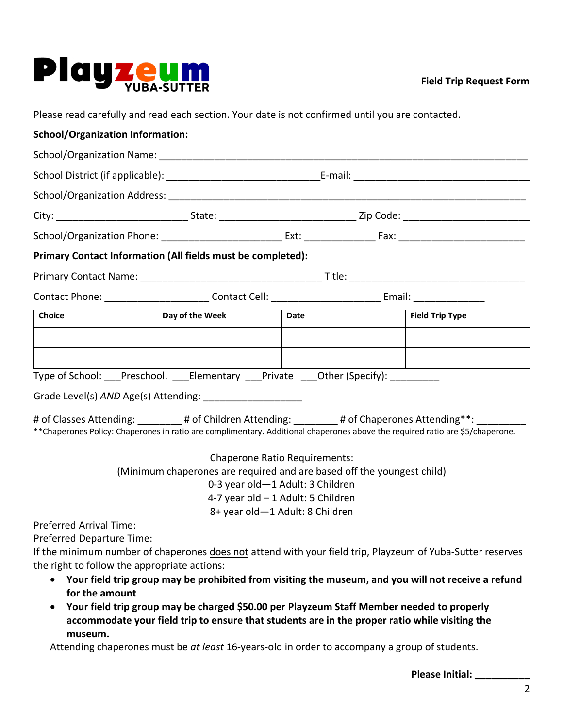

Please read carefully and read each section. Your date is not confirmed until you are contacted.

| <b>School/Organization Information:</b>                                                                                                                                                                                                  |                                                                        |      |                                                                                                           |                 |
|------------------------------------------------------------------------------------------------------------------------------------------------------------------------------------------------------------------------------------------|------------------------------------------------------------------------|------|-----------------------------------------------------------------------------------------------------------|-----------------|
|                                                                                                                                                                                                                                          |                                                                        |      |                                                                                                           |                 |
|                                                                                                                                                                                                                                          |                                                                        |      |                                                                                                           |                 |
|                                                                                                                                                                                                                                          |                                                                        |      |                                                                                                           |                 |
| City: _________________________________State: __________________________________Zip Code: __________________________                                                                                                                     |                                                                        |      |                                                                                                           |                 |
|                                                                                                                                                                                                                                          |                                                                        |      |                                                                                                           |                 |
| Primary Contact Information (All fields must be completed):                                                                                                                                                                              |                                                                        |      |                                                                                                           |                 |
|                                                                                                                                                                                                                                          |                                                                        |      |                                                                                                           |                 |
|                                                                                                                                                                                                                                          |                                                                        |      | Contact Phone: __________________________Contact Cell: __________________________ Email: ________________ |                 |
| <b>Choice</b>                                                                                                                                                                                                                            | Day of the Week                                                        | Date |                                                                                                           | Field Trip Type |
|                                                                                                                                                                                                                                          |                                                                        |      |                                                                                                           |                 |
|                                                                                                                                                                                                                                          |                                                                        |      |                                                                                                           |                 |
| Type of School: Preschool. Letementary Letrivate Letther (Specify): Letther (Specify):                                                                                                                                                   |                                                                        |      |                                                                                                           |                 |
| Grade Level(s) AND Age(s) Attending:                                                                                                                                                                                                     |                                                                        |      |                                                                                                           |                 |
| # of Classes Attending: ________ # of Children Attending: ________ # of Chaperones Attending**: ______<br>** Chaperones Policy: Chaperones in ratio are complimentary. Additional chaperones above the required ratio are \$5/chaperone. |                                                                        |      |                                                                                                           |                 |
|                                                                                                                                                                                                                                          | <b>Chaperone Ratio Requirements:</b>                                   |      |                                                                                                           |                 |
|                                                                                                                                                                                                                                          | (Minimum chaperones are required and are based off the youngest child) |      |                                                                                                           |                 |
|                                                                                                                                                                                                                                          | 0-3 year old-1 Adult: 3 Children                                       |      |                                                                                                           |                 |
|                                                                                                                                                                                                                                          | 4-7 year old - 1 Adult: 5 Children                                     |      |                                                                                                           |                 |
|                                                                                                                                                                                                                                          | 8+ year old-1 Adult: 8 Children                                        |      |                                                                                                           |                 |
| <b>Preferred Arrival Time:</b>                                                                                                                                                                                                           |                                                                        |      |                                                                                                           |                 |
| Preferred Departure Time:                                                                                                                                                                                                                |                                                                        |      |                                                                                                           |                 |

If the minimum number of chaperones does not attend with your field trip, Playzeum of Yuba-Sutter reserves the right to follow the appropriate actions:

- **Your field trip group may be prohibited from visiting the museum, and you will not receive a refund for the amount**
- **Your field trip group may be charged \$50.00 per Playzeum Staff Member needed to properly accommodate your field trip to ensure that students are in the proper ratio while visiting the museum.**

Attending chaperones must be *at least* 16-years-old in order to accompany a group of students.

**Please Initial: \_\_\_\_\_\_\_\_\_\_**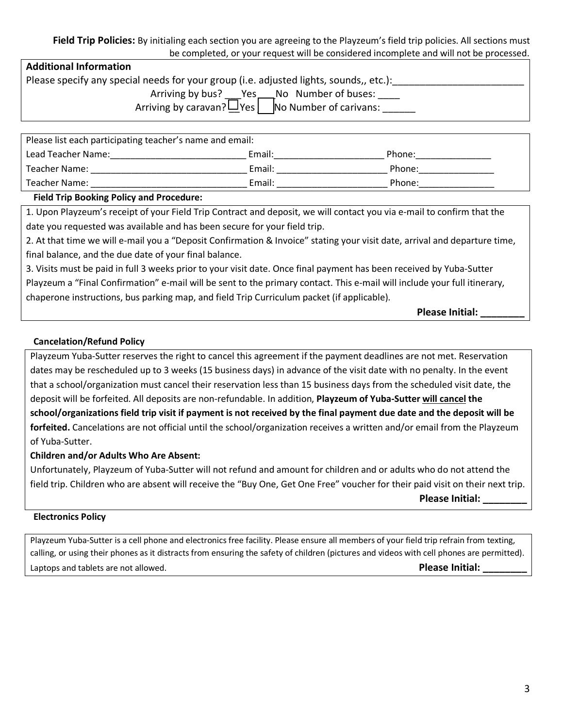**Field Trip Policies:** By initialing each section you are agreeing to the Playzeum's field trip policies. All sections must be completed, or your request will be considered incomplete and will not be processed.

| <b>Additional Information</b>                                                                                       |  |  |  |  |
|---------------------------------------------------------------------------------------------------------------------|--|--|--|--|
| Please specify any special needs for your group (i.e. adjusted lights, sounds,, etc.):                              |  |  |  |  |
| Arriving by bus? Yes ___ No Number of buses:<br>Arriving by caravan? $\overline{\Box}$ Yes   No Number of carivans: |  |  |  |  |

| Please list each participating teacher's name and email: |        |        |  |  |
|----------------------------------------------------------|--------|--------|--|--|
| Lead Teacher Name:                                       | Email: | Phone: |  |  |
| Teacher Name:                                            | Email: | Phone: |  |  |
| Teacher Name:                                            | Email: | Phone: |  |  |

### **Field Trip Booking Policy and Procedure:**

1. Upon Playzeum's receipt of your Field Trip Contract and deposit, we will contact you via e-mail to confirm that the date you requested was available and has been secure for your field trip.

2. At that time we will e-mail you a "Deposit Confirmation & Invoice" stating your visit date, arrival and departure time, final balance, and the due date of your final balance.

3. Visits must be paid in full 3 weeks prior to your visit date. Once final payment has been received by Yuba-Sutter Playzeum a "Final Confirmation" e-mail will be sent to the primary contact. This e-mail will include your full itinerary, chaperone instructions, bus parking map, and field Trip Curriculum packet (if applicable).

**Please Initial: \_\_\_\_\_\_\_\_**

#### **Cancelation/Refund Policy**

Playzeum Yuba-Sutter reserves the right to cancel this agreement if the payment deadlines are not met. Reservation dates may be rescheduled up to 3 weeks (15 business days) in advance of the visit date with no penalty. In the event that a school/organization must cancel their reservation less than 15 business days from the scheduled visit date, the deposit will be forfeited. All deposits are non-refundable. In addition, **Playzeum of Yuba-Sutter will cancel the school/organizations field trip visit if payment is not received by the final payment due date and the deposit will be forfeited.** Cancelations are not official until the school/organization receives a written and/or email from the Playzeum of Yuba-Sutter.

#### **Children and/or Adults Who Are Absent:**

Unfortunately, Playzeum of Yuba-Sutter will not refund and amount for children and or adults who do not attend the field trip. Children who are absent will receive the "Buy One, Get One Free" voucher for their paid visit on their next trip. **Please Initial: \_\_\_\_\_\_\_\_**

#### **Electronics Policy**

Playzeum Yuba-Sutter is a cell phone and electronics free facility. Please ensure all members of your field trip refrain from texting, calling, or using their phones as it distracts from ensuring the safety of children (pictures and videos with cell phones are permitted). Laptops and tablets are not allowed. **Please Initial: Please Initial: Please Initial: Please Initial: Please Initial: Please Initial: Please Initial: Please Initial: Please Initial: Please Initial: Plea**